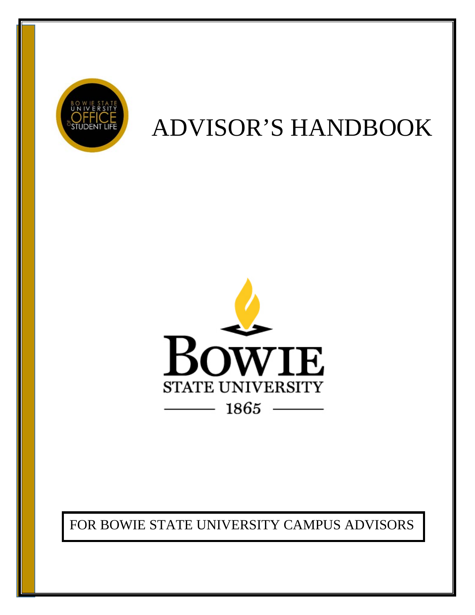

# ADVISOR'S HANDBOOK



FOR BOWIE STATE UNIVERSITY CAMPUS ADVISORS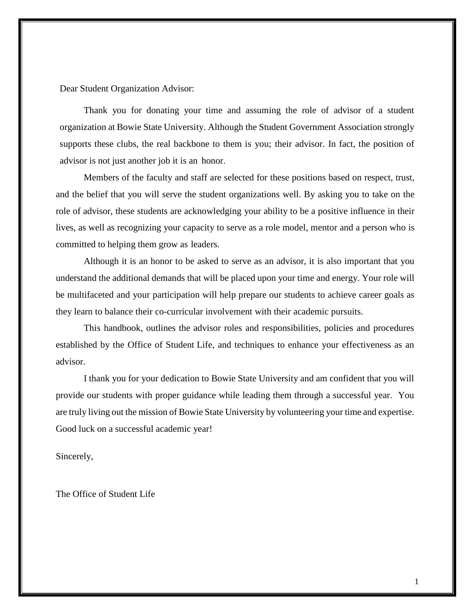Dear Student Organization Advisor:

Thank you for donating your time and assuming the role of advisor of a student organization at Bowie State University. Although the Student Government Association strongly supports these clubs, the real backbone to them is you; their advisor. In fact, the position of advisor is not just another job it is an honor.

Members of the faculty and staff are selected for these positions based on respect, trust, and the belief that you will serve the student organizations well. By asking you to take on the role of advisor, these students are acknowledging your ability to be a positive influence in their lives, as well as recognizing your capacity to serve as a role model, mentor and a person who is committed to helping them grow as leaders.

Although it is an honor to be asked to serve as an advisor, it is also important that you understand the additional demands that will be placed upon your time and energy. Your role will be multifaceted and your participation will help prepare our students to achieve career goals as they learn to balance their co-curricular involvement with their academic pursuits.

This handbook, outlines the advisor roles and responsibilities, policies and procedures established by the Office of Student Life, and techniques to enhance your effectiveness as an advisor.

I thank you for your dedication to Bowie State University and am confident that you will provide our students with proper guidance while leading them through a successful year. You are truly living out the mission of Bowie State University by volunteering your time and expertise. Good luck on a successful academic year!

Sincerely,

The Office of Student Life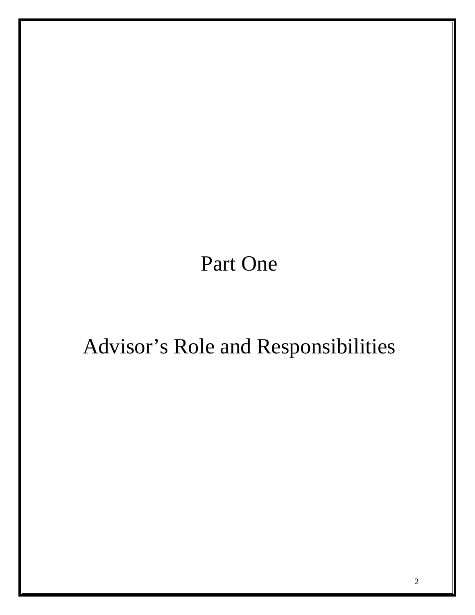Part One

# Advisor's Role and Responsibilities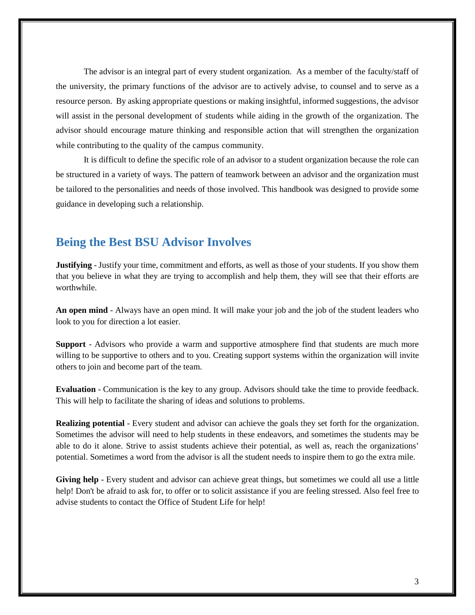The advisor is an integral part of every student organization. As a member of the faculty/staff of the university, the primary functions of the advisor are to actively advise, to counsel and to serve as a resource person. By asking appropriate questions or making insightful, informed suggestions, the advisor will assist in the personal development of students while aiding in the growth of the organization. The advisor should encourage mature thinking and responsible action that will strengthen the organization while contributing to the quality of the campus community.

It is difficult to define the specific role of an advisor to a student organization because the role can be structured in a variety of ways. The pattern of teamwork between an advisor and the organization must be tailored to the personalities and needs of those involved. This handbook was designed to provide some guidance in developing such a relationship.

## **Being the Best BSU Advisor Involves**

**Justifying** - Justify your time, commitment and efforts, as well as those of your students. If you show them that you believe in what they are trying to accomplish and help them, they will see that their efforts are worthwhile.

**An open mind** - Always have an open mind. It will make your job and the job of the student leaders who look to you for direction a lot easier.

**Support** - Advisors who provide a warm and supportive atmosphere find that students are much more willing to be supportive to others and to you. Creating support systems within the organization will invite others to join and become part of the team.

**Evaluation** - Communication is the key to any group. Advisors should take the time to provide feedback. This will help to facilitate the sharing of ideas and solutions to problems.

**Realizing potential** - Every student and advisor can achieve the goals they set forth for the organization. Sometimes the advisor will need to help students in these endeavors, and sometimes the students may be able to do it alone. Strive to assist students achieve their potential, as well as, reach the organizations' potential. Sometimes a word from the advisor is all the student needs to inspire them to go the extra mile.

**Giving help** - Every student and advisor can achieve great things, but sometimes we could all use a little help! Don't be afraid to ask for, to offer or to solicit assistance if you are feeling stressed. Also feel free to advise students to contact the Office of Student Life for help!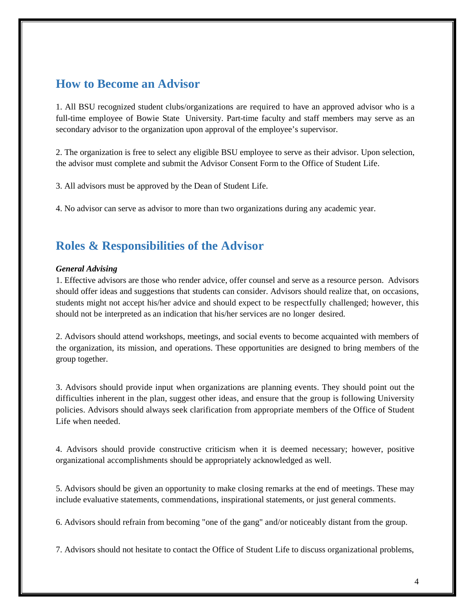## **How to Become an Advisor**

1. All BSU recognized student clubs/organizations are required to have an approved advisor who is a full-time employee of Bowie State University. Part-time faculty and staff members may serve as an secondary advisor to the organization upon approval of the employee's supervisor.

2. The organization is free to select any eligible BSU employee to serve as their advisor. Upon selection, the advisor must complete and submit the Advisor Consent Form to the Office of Student Life.

3. All advisors must be approved by the Dean of Student Life.

4. No advisor can serve as advisor to more than two organizations during any academic year.

## **Roles & Responsibilities of the Advisor**

#### *General Advising*

1. Effective advisors are those who render advice, offer counsel and serve as a resource person. Advisors should offer ideas and suggestions that students can consider. Advisors should realize that, on occasions, students might not accept his/her advice and should expect to be respectfully challenged; however, this should not be interpreted as an indication that his/her services are no longer desired.

2. Advisors should attend workshops, meetings, and social events to become acquainted with members of the organization, its mission, and operations. These opportunities are designed to bring members of the group together.

3. Advisors should provide input when organizations are planning events. They should point out the difficulties inherent in the plan, suggest other ideas, and ensure that the group is following University policies. Advisors should always seek clarification from appropriate members of the Office of Student Life when needed.

4. Advisors should provide constructive criticism when it is deemed necessary; however, positive organizational accomplishments should be appropriately acknowledged as well.

5. Advisors should be given an opportunity to make closing remarks at the end of meetings. These may include evaluative statements, commendations, inspirational statements, or just general comments.

6. Advisors should refrain from becoming "one of the gang" and/or noticeably distant from the group.

7. Advisors should not hesitate to contact the Office of Student Life to discuss organizational problems,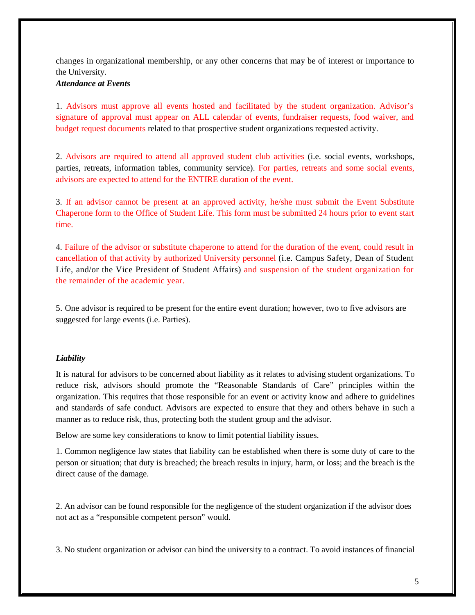changes in organizational membership, or any other concerns that may be of interest or importance to the University.

### *Attendance at Events*

1. Advisors must approve all events hosted and facilitated by the student organization. Advisor's signature of approval must appear on ALL calendar of events, fundraiser requests, food waiver, and budget request documents related to that prospective student organizations requested activity.

2. Advisors are required to attend all approved student club activities (i.e. social events, workshops, parties, retreats, information tables, community service). For parties, retreats and some social events, advisors are expected to attend for the ENTIRE duration of the event.

3. If an advisor cannot be present at an approved activity, he/she must submit the Event Substitute Chaperone form to the Office of Student Life. This form must be submitted 24 hours prior to event start time.

4. Failure of the advisor or substitute chaperone to attend for the duration of the event, could result in cancellation of that activity by authorized University personnel (i.e. Campus Safety, Dean of Student Life, and/or the Vice President of Student Affairs) and suspension of the student organization for the remainder of the academic year.

5. One advisor is required to be present for the entire event duration; however, two to five advisors are suggested for large events (i.e. Parties).

### *Liability*

It is natural for advisors to be concerned about liability as it relates to advising student organizations. To reduce risk, advisors should promote the "Reasonable Standards of Care" principles within the organization. This requires that those responsible for an event or activity know and adhere to guidelines and standards of safe conduct. Advisors are expected to ensure that they and others behave in such a manner as to reduce risk, thus, protecting both the student group and the advisor.

Below are some key considerations to know to limit potential liability issues.

1. Common negligence law states that liability can be established when there is some duty of care to the person or situation; that duty is breached; the breach results in injury, harm, or loss; and the breach is the direct cause of the damage.

2. An advisor can be found responsible for the negligence of the student organization if the advisor does not act as a "responsible competent person" would.

3. No student organization or advisor can bind the university to a contract. To avoid instances of financial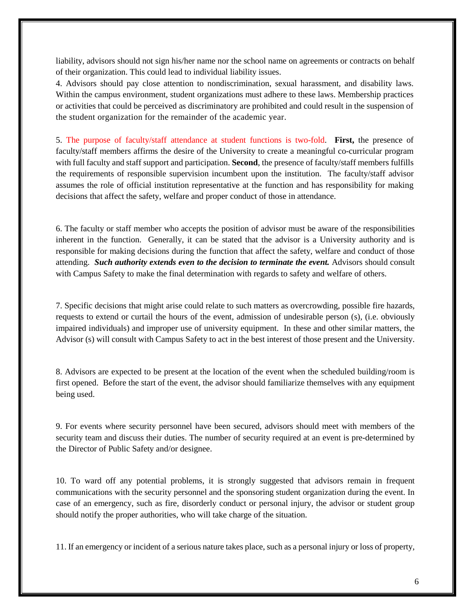liability, advisors should not sign his/her name nor the school name on agreements or contracts on behalf of their organization. This could lead to individual liability issues.

4. Advisors should pay close attention to nondiscrimination, sexual harassment, and disability laws. Within the campus environment, student organizations must adhere to these laws. Membership practices or activities that could be perceived as discriminatory are prohibited and could result in the suspension of the student organization for the remainder of the academic year.

5. The purpose of faculty/staff attendance at student functions is two-fold. **First,** the presence of faculty/staff members affirms the desire of the University to create a meaningful co-curricular program with full faculty and staff support and participation. **Second**, the presence of faculty/staff members fulfills the requirements of responsible supervision incumbent upon the institution. The faculty/staff advisor assumes the role of official institution representative at the function and has responsibility for making decisions that affect the safety, welfare and proper conduct of those in attendance.

6. The faculty or staff member who accepts the position of advisor must be aware of the responsibilities inherent in the function. Generally, it can be stated that the advisor is a University authority and is responsible for making decisions during the function that affect the safety, welfare and conduct of those attending. **Such authority extends even to the decision to terminate the event.** Advisors should consult with Campus Safety to make the final determination with regards to safety and welfare of others.

7. Specific decisions that might arise could relate to such matters as overcrowding, possible fire hazards, requests to extend or curtail the hours of the event, admission of undesirable person (s), (i.e. obviously impaired individuals) and improper use of university equipment. In these and other similar matters, the Advisor (s) will consult with Campus Safety to act in the best interest of those present and the University.

8. Advisors are expected to be present at the location of the event when the scheduled building/room is first opened. Before the start of the event, the advisor should familiarize themselves with any equipment being used.

9. For events where security personnel have been secured, advisors should meet with members of the security team and discuss their duties. The number of security required at an event is pre-determined by the Director of Public Safety and/or designee.

10. To ward off any potential problems, it is strongly suggested that advisors remain in frequent communications with the security personnel and the sponsoring student organization during the event. In case of an emergency, such as fire, disorderly conduct or personal injury, the advisor or student group should notify the proper authorities, who will take charge of the situation.

11. If an emergency or incident of a serious nature takes place, such as a personal injury or loss of property,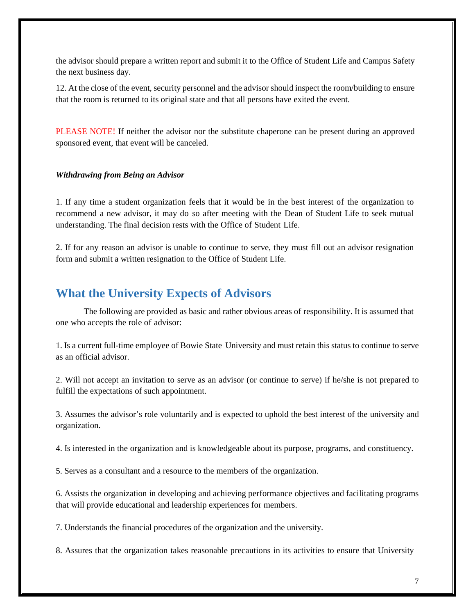the advisor should prepare a written report and submit it to the Office of Student Life and Campus Safety the next business day.

12. At the close of the event, security personnel and the advisor should inspect the room/building to ensure that the room is returned to its original state and that all persons have exited the event.

PLEASE NOTE! If neither the advisor nor the substitute chaperone can be present during an approved sponsored event, that event will be canceled.

#### *Withdrawing from Being an Advisor*

1. If any time a student organization feels that it would be in the best interest of the organization to recommend a new advisor, it may do so after meeting with the Dean of Student Life to seek mutual understanding. The final decision rests with the Office of Student Life.

2. If for any reason an advisor is unable to continue to serve, they must fill out an advisor resignation form and submit a written resignation to the Office of Student Life.

## **What the University Expects of Advisors**

The following are provided as basic and rather obvious areas of responsibility. It is assumed that one who accepts the role of advisor:

1. Is a current full-time employee of Bowie State University and must retain this status to continue to serve as an official advisor.

2. Will not accept an invitation to serve as an advisor (or continue to serve) if he/she is not prepared to fulfill the expectations of such appointment.

3. Assumes the advisor's role voluntarily and is expected to uphold the best interest of the university and organization.

4. Is interested in the organization and is knowledgeable about its purpose, programs, and constituency.

5. Serves as a consultant and a resource to the members of the organization.

6. Assists the organization in developing and achieving performance objectives and facilitating programs that will provide educational and leadership experiences for members.

7. Understands the financial procedures of the organization and the university.

8. Assures that the organization takes reasonable precautions in its activities to ensure that University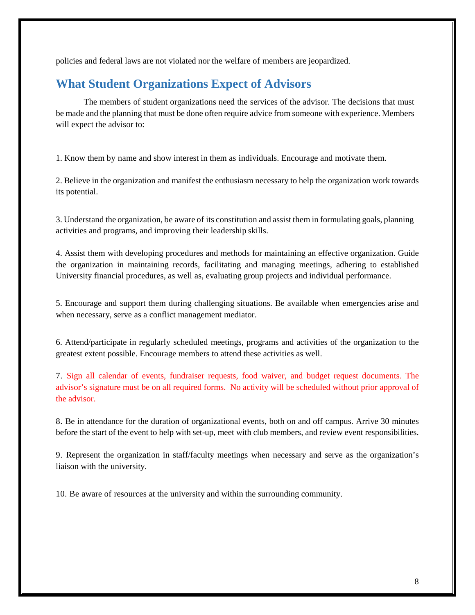policies and federal laws are not violated nor the welfare of members are jeopardized.

# **What Student Organizations Expect of Advisors**

The members of student organizations need the services of the advisor. The decisions that must be made and the planning that must be done often require advice from someone with experience. Members will expect the advisor to:

1. Know them by name and show interest in them as individuals. Encourage and motivate them.

2. Believe in the organization and manifest the enthusiasm necessary to help the organization work towards its potential.

3. Understand the organization, be aware of its constitution and assist them in formulating goals, planning activities and programs, and improving their leadership skills.

4. Assist them with developing procedures and methods for maintaining an effective organization. Guide the organization in maintaining records, facilitating and managing meetings, adhering to established University financial procedures, as well as, evaluating group projects and individual performance.

5. Encourage and support them during challenging situations. Be available when emergencies arise and when necessary, serve as a conflict management mediator.

6. Attend/participate in regularly scheduled meetings, programs and activities of the organization to the greatest extent possible. Encourage members to attend these activities as well.

7. Sign all calendar of events, fundraiser requests, food waiver, and budget request documents. The advisor's signature must be on all required forms. No activity will be scheduled without prior approval of the advisor.

8. Be in attendance for the duration of organizational events, both on and off campus. Arrive 30 minutes before the start of the event to help with set-up, meet with club members, and review event responsibilities.

9. Represent the organization in staff/faculty meetings when necessary and serve as the organization's liaison with the university.

10. Be aware of resources at the university and within the surrounding community.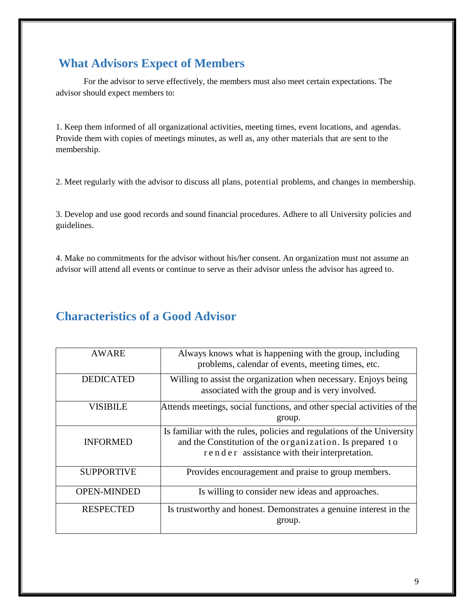# **What Advisors Expect of Members**

For the advisor to serve effectively, the members must also meet certain expectations. The advisor should expect members to:

1. Keep them informed of all organizational activities, meeting times, event locations, and agendas. Provide them with copies of meetings minutes, as well as, any other materials that are sent to the membership.

2. Meet regularly with the advisor to discuss all plans, potential problems, and changes in membership.

3. Develop and use good records and sound financial procedures. Adhere to all University policies and guidelines.

4. Make no commitments for the advisor without his/her consent. An organization must not assume an advisor will attend all events or continue to serve as their advisor unless the advisor has agreed to.

# **Characteristics of a Good Advisor**

| <b>AWARE</b>       | Always knows what is happening with the group, including<br>problems, calendar of events, meeting times, etc.                                                                      |
|--------------------|------------------------------------------------------------------------------------------------------------------------------------------------------------------------------------|
| <b>DEDICATED</b>   | Willing to assist the organization when necessary. Enjoys being<br>associated with the group and is very involved.                                                                 |
| <b>VISIBILE</b>    | Attends meetings, social functions, and other special activities of the<br>group.                                                                                                  |
| <b>INFORMED</b>    | Is familiar with the rules, policies and regulations of the University<br>and the Constitution of the organization. Is prepared to<br>render assistance with their interpretation. |
| <b>SUPPORTIVE</b>  | Provides encouragement and praise to group members.                                                                                                                                |
| <b>OPEN-MINDED</b> | Is willing to consider new ideas and approaches.                                                                                                                                   |
| <b>RESPECTED</b>   | Is trustworthy and honest. Demonstrates a genuine interest in the<br>group.                                                                                                        |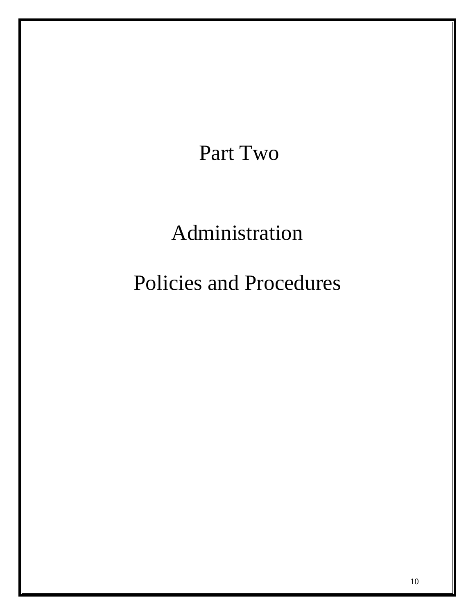# Part Two

# Administration

# Policies and Procedures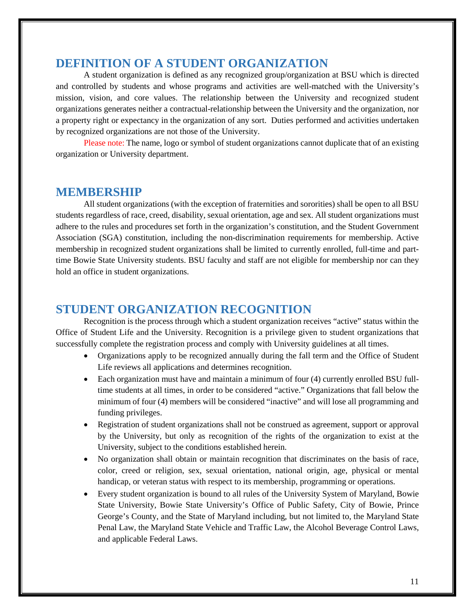## **DEFINITION OF A STUDENT ORGANIZATION**

A student organization is defined as any recognized group/organization at BSU which is directed and controlled by students and whose programs and activities are well-matched with the University's mission, vision, and core values. The relationship between the University and recognized student organizations generates neither a contractual-relationship between the University and the organization, nor a property right or expectancy in the organization of any sort. Duties performed and activities undertaken by recognized organizations are not those of the University.

Please note: The name, logo or symbol of student organizations cannot duplicate that of an existing organization or University department.

## **MEMBERSHIP**

All student organizations (with the exception of fraternities and sororities) shall be open to all BSU students regardless of race, creed, disability, sexual orientation, age and sex. All student organizations must adhere to the rules and procedures set forth in the organization's constitution, and the Student Government Association (SGA) constitution, including the non-discrimination requirements for membership. Active membership in recognized student organizations shall be limited to currently enrolled, full-time and parttime Bowie State University students. BSU faculty and staff are not eligible for membership nor can they hold an office in student organizations.

## **STUDENT ORGANIZATION RECOGNITION**

Recognition is the process through which a student organization receives "active" status within the Office of Student Life and the University. Recognition is a privilege given to student organizations that successfully complete the registration process and comply with University guidelines at all times.

- Organizations apply to be recognized annually during the fall term and the Office of Student Life reviews all applications and determines recognition.
- Each organization must have and maintain a minimum of four (4) currently enrolled BSU fulltime students at all times, in order to be considered "active." Organizations that fall below the minimum of four (4) members will be considered "inactive" and will lose all programming and funding privileges.
- Registration of student organizations shall not be construed as agreement, support or approval by the University, but only as recognition of the rights of the organization to exist at the University, subject to the conditions established herein.
- No organization shall obtain or maintain recognition that discriminates on the basis of race, color, creed or religion, sex, sexual orientation, national origin, age, physical or mental handicap, or veteran status with respect to its membership, programming or operations.
- Every student organization is bound to all rules of the University System of Maryland, Bowie State University, Bowie State University's Office of Public Safety, City of Bowie, Prince George's County, and the State of Maryland including, but not limited to, the Maryland State Penal Law, the Maryland State Vehicle and Traffic Law, the Alcohol Beverage Control Laws, and applicable Federal Laws.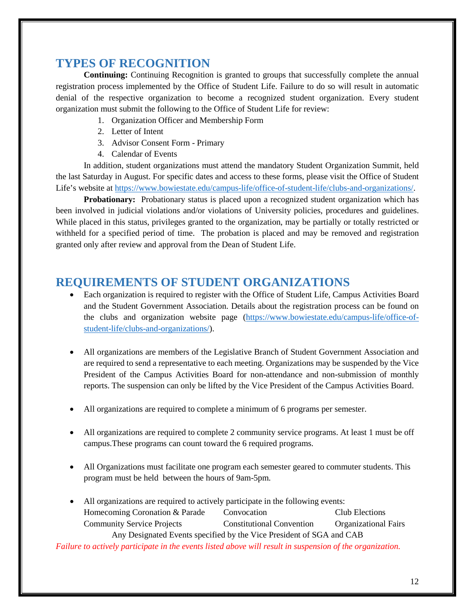## **TYPES OF RECOGNITION**

**Continuing:** Continuing Recognition is granted to groups that successfully complete the annual registration process implemented by the Office of Student Life. Failure to do so will result in automatic denial of the respective organization to become a recognized student organization. Every student organization must submit the following to the Office of Student Life for review:

- 1. Organization Officer and Membership Form
- 2. Letter of Intent
- 3. Advisor Consent Form Primary
- 4. Calendar of Events

In addition, student organizations must attend the mandatory Student Organization Summit, held the last Saturday in August. For specific dates and access to these forms, please visit the Office of Student Life's website at [https://www.bowiestate.edu/campus-life/office-of-student-life/clubs-and-organizations/.](https://www.bowiestate.edu/campus-life/office-of-student-life/clubs-and-organizations/)

**Probationary:** Probationary status is placed upon a recognized student organization which has been involved in judicial violations and/or violations of University policies, procedures and guidelines. While placed in this status, privileges granted to the organization, may be partially or totally restricted or withheld for a specified period of time. The probation is placed and may be removed and registration granted only after review and approval from the Dean of Student Life.

## **REQUIREMENTS OF STUDENT ORGANIZATIONS**

- Each organization is required to register with the Office of Student Life, Campus Activities Board and the Student Government Association. Details about the registration process can be found on the clubs and organization website page [\(https://www.bowiestate.edu/campus-life/office-of](https://www.bowiestate.edu/campus-life/office-of-student-life/clubs-and-organizations/)[student-life/clubs-and-organizations/\)](https://www.bowiestate.edu/campus-life/office-of-student-life/clubs-and-organizations/).
- All organizations are members of the Legislative Branch of Student Government Association and are required to send a representative to each meeting. Organizations may be suspended by the Vice President of the Campus Activities Board for non-attendance and non-submission of monthly reports. The suspension can only be lifted by the Vice President of the Campus Activities Board.
- All organizations are required to complete a minimum of 6 programs per semester.
- All organizations are required to complete 2 community service programs. At least 1 must be off campus.These programs can count toward the 6 required programs.
- All Organizations must facilitate one program each semester geared to commuter students. This program must be held between the hours of 9am-5pm.
- All organizations are required to actively participate in the following events: Homecoming Coronation & Parade Convocation Club Elections Community Service Projects Constitutional Convention Organizational Fairs Any Designated Events specified by the Vice President of SGA and CAB

*Failure to actively participate in the events listed above will result in suspension of the organization.*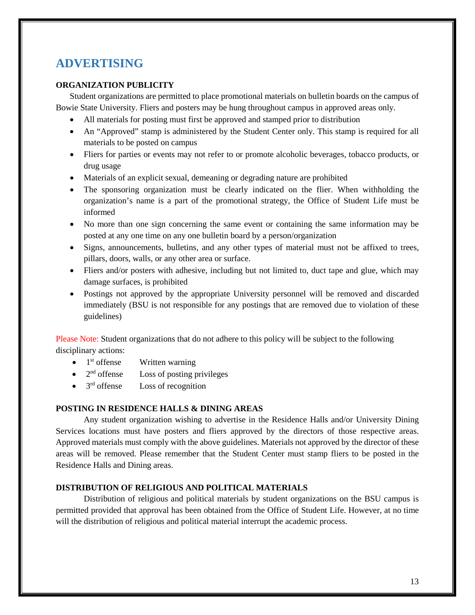# **ADVERTISING**

## **ORGANIZATION PUBLICITY**

Student organizations are permitted to place promotional materials on bulletin boards on the campus of Bowie State University. Fliers and posters may be hung throughout campus in approved areas only.

- All materials for posting must first be approved and stamped prior to distribution
- An "Approved" stamp is administered by the Student Center only. This stamp is required for all materials to be posted on campus
- Fliers for parties or events may not refer to or promote alcoholic beverages, tobacco products, or drug usage
- Materials of an explicit sexual, demeaning or degrading nature are prohibited
- The sponsoring organization must be clearly indicated on the flier. When withholding the organization's name is a part of the promotional strategy, the Office of Student Life must be informed
- No more than one sign concerning the same event or containing the same information may be posted at any one time on any one bulletin board by a person/organization
- Signs, announcements, bulletins, and any other types of material must not be affixed to trees, pillars, doors, walls, or any other area or surface.
- Fliers and/or posters with adhesive, including but not limited to, duct tape and glue, which may damage surfaces, is prohibited
- Postings not approved by the appropriate University personnel will be removed and discarded immediately (BSU is not responsible for any postings that are removed due to violation of these guidelines)

Please Note: Student organizations that do not adhere to this policy will be subject to the following disciplinary actions:

- $\bullet$  1<sup>st</sup> offense Written warning
- $\bullet$  2<sup>nd</sup> offense Loss of posting privileges
- $\bullet$  3<sup>rd</sup> offense Loss of recognition

### **POSTING IN RESIDENCE HALLS & DINING AREAS**

Any student organization wishing to advertise in the Residence Halls and/or University Dining Services locations must have posters and fliers approved by the directors of those respective areas. Approved materials must comply with the above guidelines. Materials not approved by the director of these areas will be removed. Please remember that the Student Center must stamp fliers to be posted in the Residence Halls and Dining areas.

### **DISTRIBUTION OF RELIGIOUS AND POLITICAL MATERIALS**

Distribution of religious and political materials by student organizations on the BSU campus is permitted provided that approval has been obtained from the Office of Student Life. However, at no time will the distribution of religious and political material interrupt the academic process.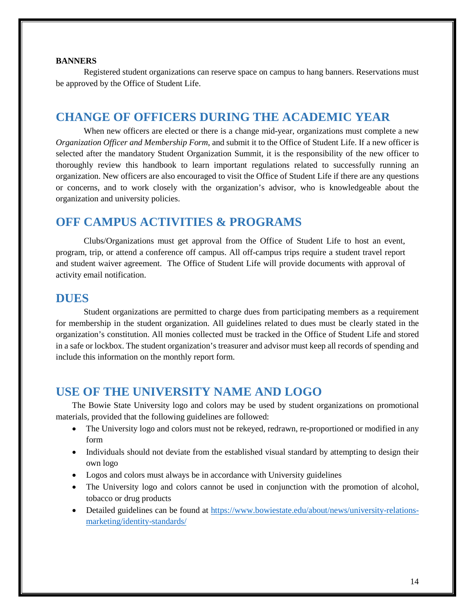#### **BANNERS**

Registered student organizations can reserve space on campus to hang banners. Reservations must be approved by the Office of Student Life.

## **CHANGE OF OFFICERS DURING THE ACADEMIC YEAR**

When new officers are elected or there is a change mid-year, organizations must complete a new *Organization Officer and Membership Form*, and submit it to the Office of Student Life. If a new officer is selected after the mandatory Student Organization Summit, it is the responsibility of the new officer to thoroughly review this handbook to learn important regulations related to successfully running an organization. New officers are also encouraged to visit the Office of Student Life if there are any questions or concerns, and to work closely with the organization's advisor, who is knowledgeable about the organization and university policies.

## **OFF CAMPUS ACTIVITIES & PROGRAMS**

Clubs/Organizations must get approval from the Office of Student Life to host an event, program, trip, or attend a conference off campus. All off-campus trips require a student travel report and student waiver agreement. The Office of Student Life will provide documents with approval of activity email notification.

## **DUES**

Student organizations are permitted to charge dues from participating members as a requirement for membership in the student organization. All guidelines related to dues must be clearly stated in the organization's constitution. All monies collected must be tracked in the Office of Student Life and stored in a safe or lockbox. The student organization's treasurer and advisor must keep all records of spending and include this information on the monthly report form.

## **USE OF THE UNIVERSITY NAME AND LOGO**

The Bowie State University logo and colors may be used by student organizations on promotional materials, provided that the following guidelines are followed:

- The University logo and colors must not be rekeyed, redrawn, re-proportioned or modified in any form
- Individuals should not deviate from the established visual standard by attempting to design their own logo
- Logos and colors must always be in accordance with University guidelines
- The University logo and colors cannot be used in conjunction with the promotion of alcohol, tobacco or drug products
- Detailed guidelines can be found at [https://www.bowiestate.edu/about/news/university-relations](https://www.bowiestate.edu/about/news/university-relations-marketing/identity-standards/)[marketing/identity-standards/](https://www.bowiestate.edu/about/news/university-relations-marketing/identity-standards/)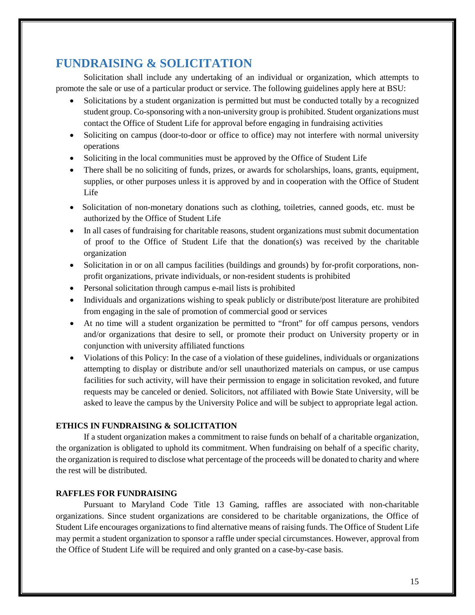# **FUNDRAISING & SOLICITATION**

Solicitation shall include any undertaking of an individual or organization, which attempts to promote the sale or use of a particular product or service. The following guidelines apply here at BSU:

- Solicitations by a student organization is permitted but must be conducted totally by a recognized student group. Co-sponsoring with a non-university group is prohibited. Student organizations must contact the Office of Student Life for approval before engaging in fundraising activities
- Soliciting on campus (door-to-door or office to office) may not interfere with normal university operations
- Soliciting in the local communities must be approved by the Office of Student Life
- There shall be no soliciting of funds, prizes, or awards for scholarships, loans, grants, equipment, supplies, or other purposes unless it is approved by and in cooperation with the Office of Student Life
- Solicitation of non-monetary donations such as clothing, toiletries, canned goods, etc. must be authorized by the Office of Student Life
- In all cases of fundraising for charitable reasons, student organizations must submit documentation of proof to the Office of Student Life that the donation(s) was received by the charitable organization
- Solicitation in or on all campus facilities (buildings and grounds) by for-profit corporations, nonprofit organizations, private individuals, or non-resident students is prohibited
- Personal solicitation through campus e-mail lists is prohibited
- Individuals and organizations wishing to speak publicly or distribute/post literature are prohibited from engaging in the sale of promotion of commercial good or services
- At no time will a student organization be permitted to "front" for off campus persons, vendors and/or organizations that desire to sell, or promote their product on University property or in conjunction with university affiliated functions
- Violations of this Policy: In the case of a violation of these guidelines, individuals or organizations attempting to display or distribute and/or sell unauthorized materials on campus, or use campus facilities for such activity, will have their permission to engage in solicitation revoked, and future requests may be canceled or denied. Solicitors, not affiliated with Bowie State University, will be asked to leave the campus by the University Police and will be subject to appropriate legal action.

### **ETHICS IN FUNDRAISING & SOLICITATION**

If a student organization makes a commitment to raise funds on behalf of a charitable organization, the organization is obligated to uphold its commitment. When fundraising on behalf of a specific charity, the organization is required to disclose what percentage of the proceeds will be donated to charity and where the rest will be distributed.

## **RAFFLES FOR FUNDRAISING**

Pursuant to Maryland Code Title 13 Gaming, raffles are associated with non-charitable organizations. Since student organizations are considered to be charitable organizations, the Office of Student Life encourages organizations to find alternative means of raising funds. The Office of Student Life may permit a student organization to sponsor a raffle under special circumstances. However, approval from the Office of Student Life will be required and only granted on a case-by-case basis.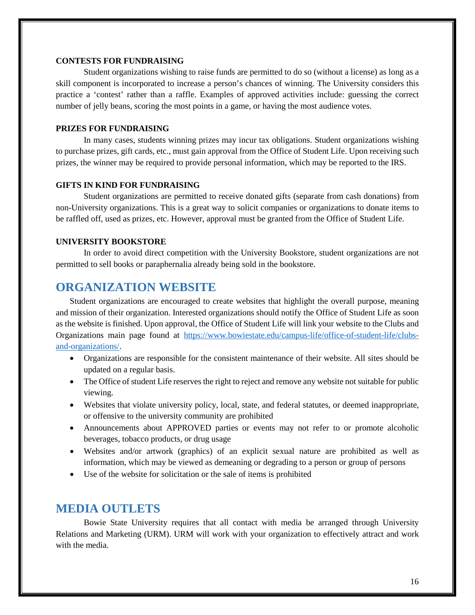#### **CONTESTS FOR FUNDRAISING**

Student organizations wishing to raise funds are permitted to do so (without a license) as long as a skill component is incorporated to increase a person's chances of winning. The University considers this practice a 'contest' rather than a raffle. Examples of approved activities include: guessing the correct number of jelly beans, scoring the most points in a game, or having the most audience votes.

#### **PRIZES FOR FUNDRAISING**

In many cases, students winning prizes may incur tax obligations. Student organizations wishing to purchase prizes, gift cards, etc., must gain approval from the Office of Student Life. Upon receiving such prizes, the winner may be required to provide personal information, which may be reported to the IRS.

### **GIFTS IN KIND FOR FUNDRAISING**

Student organizations are permitted to receive donated gifts (separate from cash donations) from non-University organizations. This is a great way to solicit companies or organizations to donate items to be raffled off, used as prizes, etc. However, approval must be granted from the Office of Student Life.

#### **UNIVERSITY BOOKSTORE**

In order to avoid direct competition with the University Bookstore, student organizations are not permitted to sell books or paraphernalia already being sold in the bookstore.

## **ORGANIZATION WEBSITE**

Student organizations are encouraged to create websites that highlight the overall purpose, meaning and mission of their organization. Interested organizations should notify the Office of Student Life as soon as the website is finished. Upon approval, the Office of Student Life will link your website to the Clubs and Organizations main page found at [https://www.bowiestate.edu/campus-life/office-of-student-life/clubs](https://www.bowiestate.edu/campus-life/office-of-student-life/clubs-and-organizations/)[and-organizations/.](https://www.bowiestate.edu/campus-life/office-of-student-life/clubs-and-organizations/)

- Organizations are responsible for the consistent maintenance of their website. All sites should be updated on a regular basis.
- The Office of student Life reserves the right to reject and remove any website not suitable for public viewing.
- Websites that violate university policy, local, state, and federal statutes, or deemed inappropriate, or offensive to the university community are prohibited
- Announcements about APPROVED parties or events may not refer to or promote alcoholic beverages, tobacco products, or drug usage
- Websites and/or artwork (graphics) of an explicit sexual nature are prohibited as well as information, which may be viewed as demeaning or degrading to a person or group of persons
- Use of the website for solicitation or the sale of items is prohibited

## **MEDIA OUTLETS**

Bowie State University requires that all contact with media be arranged through University Relations and Marketing (URM). URM will work with your organization to effectively attract and work with the media.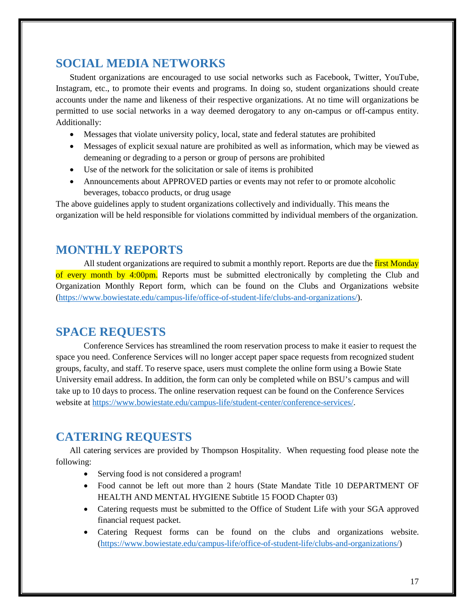## **SOCIAL MEDIA NETWORKS**

Student organizations are encouraged to use social networks such as Facebook, Twitter, YouTube, Instagram, etc., to promote their events and programs. In doing so, student organizations should create accounts under the name and likeness of their respective organizations. At no time will organizations be permitted to use social networks in a way deemed derogatory to any on-campus or off-campus entity. Additionally:

- Messages that violate university policy, local, state and federal statutes are prohibited
- Messages of explicit sexual nature are prohibited as well as information, which may be viewed as demeaning or degrading to a person or group of persons are prohibited
- Use of the network for the solicitation or sale of items is prohibited
- Announcements about APPROVED parties or events may not refer to or promote alcoholic beverages, tobacco products, or drug usage

The above guidelines apply to student organizations collectively and individually. This means the organization will be held responsible for violations committed by individual members of the organization.

## **MONTHLY REPORTS**

All student organizations are required to submit a monthly report. Reports are due the first Monday of every month by 4:00pm. Reports must be submitted electronically by completing the Club and Organization Monthly Report form, which can be found on the Clubs and Organizations website [\(https://www.bowiestate.edu/campus-life/office-of-student-life/clubs-and-organizations/\)](https://www.bowiestate.edu/campus-life/office-of-student-life/clubs-and-organizations/).

# **SPACE REQUESTS**

Conference Services has streamlined the room reservation process to make it easier to request the space you need. Conference Services will no longer accept paper space requests from recognized student groups, faculty, and staff. To reserve space, users must complete the online form using a Bowie State University email address. In addition, the form can only be completed while on BSU's campus and will take up to 10 days to process. The online reservation request can be found on the Conference Services website at [https://www.bowiestate.edu/campus-life/student-center/conference-services/.](https://www.bowiestate.edu/campus-life/student-center/conference-services/)

# **CATERING REQUESTS**

All catering services are provided by Thompson Hospitality. When requesting food please note the following:

- Serving food is not considered a program!
- Food cannot be left out more than 2 hours (State Mandate Title 10 DEPARTMENT OF HEALTH AND MENTAL HYGIENE Subtitle 15 FOOD Chapter 03)
- Catering requests must be submitted to the Office of Student Life with your SGA approved financial request packet.
- Catering Request forms can be found on the clubs and organizations website. [\(https://www.bowiestate.edu/campus-life/office-of-student-life/clubs-and-organizations/\)](https://www.bowiestate.edu/campus-life/office-of-student-life/clubs-and-organizations/)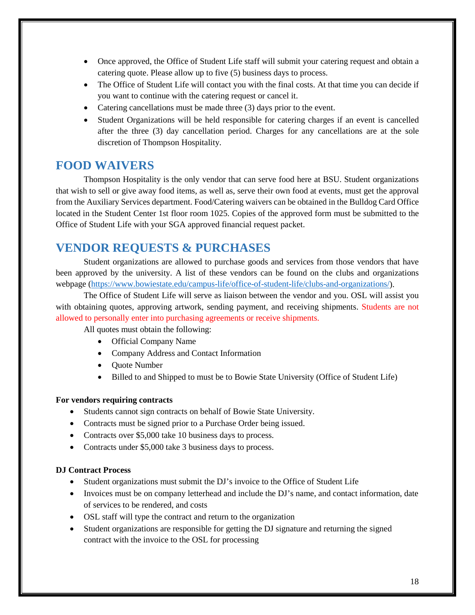- Once approved, the Office of Student Life staff will submit your catering request and obtain a catering quote. Please allow up to five (5) business days to process.
- The Office of Student Life will contact you with the final costs. At that time you can decide if you want to continue with the catering request or cancel it.
- Catering cancellations must be made three (3) days prior to the event.
- Student Organizations will be held responsible for catering charges if an event is cancelled after the three (3) day cancellation period. Charges for any cancellations are at the sole discretion of Thompson Hospitality.

## **FOOD WAIVERS**

Thompson Hospitality is the only vendor that can serve food here at BSU. Student organizations that wish to sell or give away food items, as well as, serve their own food at events, must get the approval from the Auxiliary Services department. Food/Catering waivers can be obtained in the Bulldog Card Office located in the Student Center 1st floor room 1025. Copies of the approved form must be submitted to the Office of Student Life with your SGA approved financial request packet.

# **VENDOR REQUESTS & PURCHASES**

Student organizations are allowed to purchase goods and services from those vendors that have been approved by the university. A list of these vendors can be found on the clubs and organizations webpage [\(https://www.bowiestate.edu/campus-life/office-of-student-life/clubs-and-organizations/\)](https://www.bowiestate.edu/campus-life/office-of-student-life/clubs-and-organizations/).

The Office of Student Life will serve as liaison between the vendor and you. OSL will assist you with obtaining quotes, approving artwork, sending payment, and receiving shipments. Students are not allowed to personally enter into purchasing agreements or receive shipments.

All quotes must obtain the following:

- Official Company Name
- Company Address and Contact Information
- Ouote Number
- Billed to and Shipped to must be to Bowie State University (Office of Student Life)

#### **For vendors requiring contracts**

- Students cannot sign contracts on behalf of Bowie State University.
- Contracts must be signed prior to a Purchase Order being issued.
- Contracts over \$5,000 take 10 business days to process.
- Contracts under \$5,000 take 3 business days to process.

### **DJ Contract Process**

- Student organizations must submit the DJ's invoice to the Office of Student Life
- Invoices must be on company letterhead and include the DJ's name, and contact information, date of services to be rendered, and costs
- OSL staff will type the contract and return to the organization
- Student organizations are responsible for getting the DJ signature and returning the signed contract with the invoice to the OSL for processing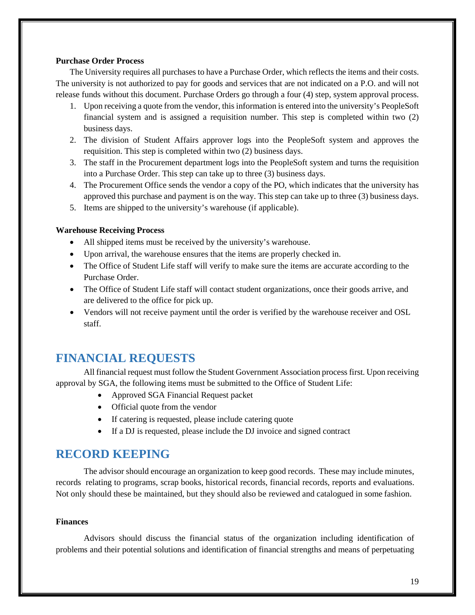### **Purchase Order Process**

The University requires all purchases to have a Purchase Order, which reflects the items and their costs. The university is not authorized to pay for goods and services that are not indicated on a P.O. and will not release funds without this document. Purchase Orders go through a four (4) step, system approval process.

- 1. Upon receiving a quote from the vendor, this information is entered into the university's PeopleSoft financial system and is assigned a requisition number. This step is completed within two (2) business days.
- 2. The division of Student Affairs approver logs into the PeopleSoft system and approves the requisition. This step is completed within two (2) business days.
- 3. The staff in the Procurement department logs into the PeopleSoft system and turns the requisition into a Purchase Order. This step can take up to three (3) business days.
- 4. The Procurement Office sends the vendor a copy of the PO, which indicates that the university has approved this purchase and payment is on the way. This step can take up to three (3) business days.
- 5. Items are shipped to the university's warehouse (if applicable).

#### **Warehouse Receiving Process**

- All shipped items must be received by the university's warehouse.
- Upon arrival, the warehouse ensures that the items are properly checked in.
- The Office of Student Life staff will verify to make sure the items are accurate according to the Purchase Order.
- The Office of Student Life staff will contact student organizations, once their goods arrive, and are delivered to the office for pick up.
- Vendors will not receive payment until the order is verified by the warehouse receiver and OSL staff.

# **FINANCIAL REQUESTS**

All financial request must follow the Student Government Association process first. Upon receiving approval by SGA, the following items must be submitted to the Office of Student Life:

- Approved SGA Financial Request packet
- Official quote from the vendor
- If catering is requested, please include catering quote
- If a DJ is requested, please include the DJ invoice and signed contract

## **RECORD KEEPING**

The advisor should encourage an organization to keep good records. These may include minutes, records relating to programs, scrap books, historical records, financial records, reports and evaluations. Not only should these be maintained, but they should also be reviewed and catalogued in some fashion.

### **Finances**

Advisors should discuss the financial status of the organization including identification of problems and their potential solutions and identification of financial strengths and means of perpetuating